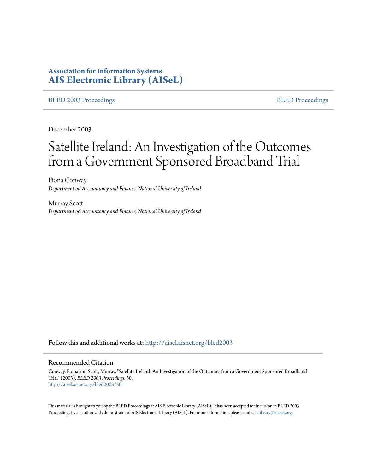# **Association for Information Systems [AIS Electronic Library \(AISeL\)](http://aisel.aisnet.org?utm_source=aisel.aisnet.org%2Fbled2003%2F50&utm_medium=PDF&utm_campaign=PDFCoverPages)**

#### [BLED 2003 Proceedings](http://aisel.aisnet.org/bled2003?utm_source=aisel.aisnet.org%2Fbled2003%2F50&utm_medium=PDF&utm_campaign=PDFCoverPages) and the state of the state of the [BLED Proceedings](http://aisel.aisnet.org/bled?utm_source=aisel.aisnet.org%2Fbled2003%2F50&utm_medium=PDF&utm_campaign=PDFCoverPages) and the BLED Proceedings and the BLED Proceedings and the BLED Proceedings and the BLED Proceedings and the BLED Proceedings and the BLED Proceedings

December 2003

# Satellite Ireland: An Investigation of the Outcomes from a Government Sponsored Broadband Trial

Fiona Conway *Department od Accountancy and Finance, National University of Ireland*

Murray Scott *Department od Accountancy and Finance, National University of Ireland*

Follow this and additional works at: [http://aisel.aisnet.org/bled2003](http://aisel.aisnet.org/bled2003?utm_source=aisel.aisnet.org%2Fbled2003%2F50&utm_medium=PDF&utm_campaign=PDFCoverPages)

#### Recommended Citation

Conway, Fiona and Scott, Murray, "Satellite Ireland: An Investigation of the Outcomes from a Government Sponsored Broadband Trial" (2003). *BLED 2003 Proceedings*. 50. [http://aisel.aisnet.org/bled2003/50](http://aisel.aisnet.org/bled2003/50?utm_source=aisel.aisnet.org%2Fbled2003%2F50&utm_medium=PDF&utm_campaign=PDFCoverPages)

This material is brought to you by the BLED Proceedings at AIS Electronic Library (AISeL). It has been accepted for inclusion in BLED 2003 Proceedings by an authorized administrator of AIS Electronic Library (AISeL). For more information, please contact [elibrary@aisnet.org](mailto:elibrary@aisnet.org%3E).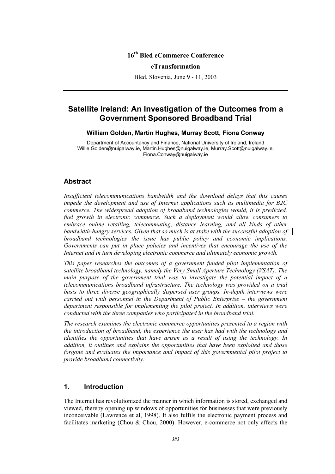## **16th Bled eCommerce Conference**

#### **eTransformation**

Bled, Slovenia, June 9 - 11, 2003

# **Satellite Ireland: An Investigation of the Outcomes from a Government Sponsored Broadband Trial**

#### **William Golden, Martin Hughes, Murray Scott, Fiona Conway**

Department of Accountancy and Finance, National University of Ireland, Ireland Willie.Golden@nuigalway.ie, Martin.Hughes@nuigalway.ie, Murray.Scott@nuigalway.ie, Fiona.Conway@nuigalway.ie

#### **Abstract**

*Insufficient telecommunications bandwidth and the download delays that this causes impede the development and use of Internet applications such as multimedia for B2C commerce. The widespread adoption of broadband technologies would, it is predicted, fuel growth in electronic commerce. Such a deployment would allow consumers to embrace online retailing, telecommuting, distance learning, and all kinds of other bandwidth-hungry services. Given that so much is at stake with the successful adoption of broadband technologies the issue has public policy and economic implications. Governments can put in place policies and incentives that encourage the use of the Internet and in turn developing electronic commerce and ultimately economic growth.* 

*This paper researches the outcomes of a government funded pilot implementation of satellite broadband technology, namely the Very Small Aperture Technology (VSAT). The main purpose of the government trial was to investigate the potential impact of a telecommunications broadband infrastructure. The technology was provided on a trial basis to three diverse geographically dispersed user groups. In-depth interviews were carried out with personnel in the Department of Public Enterprise – the government department responsible for implementing the pilot project. In addition, interviews were conducted with the three companies who participated in the broadband trial.* 

*The research examines the electronic commerce opportunities presented to a region with the introduction of broadband, the experience the user has had with the technology and identifies the opportunities that have arisen as a result of using the technology. In addition, it outlines and explains the opportunities that have been exploited and those forgone and evaluates the importance and impact of this governmental pilot project to provide broadband connectivity.* 

#### **1. Introduction**

The Internet has revolutionized the manner in which information is stored, exchanged and viewed, thereby opening up windows of opportunities for businesses that were previously inconceivable (Lawrence et al, 1998). It also fulfils the electronic payment process and facilitates marketing (Chou & Chou, 2000). However, e-commerce not only affects the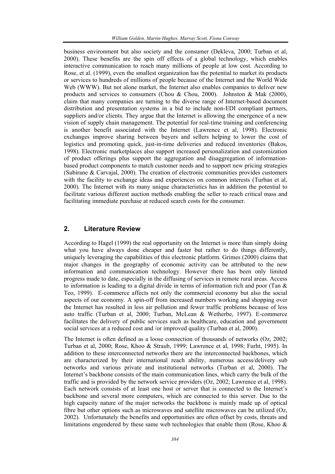business environment but also society and the consumer (Dekleva, 2000; Turban et al, 2000). These benefits are the spin off effects of a global technology, which enables interactive communication to reach many millions of people at low cost. According to Rose, et al. (1999), even the smallest organization has the potential to market its products or services to hundreds of millions of people because of the Internet and the World Wide Web (WWW). But not alone market, the Internet also enables companies to deliver new products and services to consumers (Chou & Chou, 2000). Johnston & Mak (2000), claim that many companies are turning to the diverse range of Internet-based document distribution and presentation systems in a bid to include non-EDI compliant partners, suppliers and/or clients. They argue that the Internet is allowing the emergence of a new vision of supply chain management. The potential for real-time training and conferencing is another benefit associated with the Internet (Lawrence et al, 1998). Electronic exchanges improve sharing between buyers and sellers helping to lower the cost of logistics and promoting quick, just-in-time deliveries and reduced inventories (Bakos, 1998). Electronic marketplaces also support increased personalization and customization of product offerings plus support the aggregation and disaggregation of informationbased product components to match customer needs and to support new pricing strategies (Subirane & Carvajal, 2000). The creation of electronic communities provides customers with the facility to exchange ideas and experiences on common interests (Turban et al, 2000). The Internet with its many unique characteristics has in addition the potential to facilitate various different auction methods enabling the seller to reach critical mass and facilitating immediate purchase at reduced search costs for the consumer.

#### **2. Literature Review**

According to Hagel (1999) the real opportunity on the Internet is more than simply doing what you have always done cheaper and faster but rather to do things differently. uniquely leveraging the capabilities of this electronic platform. Grimes (2000) claims that major changes in the geography of economic activity can be attributed to the new information and communication technology. However there has been only limited progress made to date, especially in the diffusing of services in remote rural areas. Access to information is leading to a digital divide in terms of information rich and poor (Tan  $\&$ Teo, 1999). E-commerce affects not only the commercial economy but also the social aspects of our economy. A spin-off from increased numbers working and shopping over the Internet has resulted in less air pollution and fewer traffic problems because of less auto traffic (Turban et al, 2000; Turban, McLean & Wetherbe, 1997). E-commerce facilitates the delivery of public services such as healthcare, education and government social services at a reduced cost and /or improved quality (Turban et al, 2000).

The Internet is often defined as a loose connection of thousands of networks (Oz, 2002; Turban et al, 2000; Rose, Khoo & Straub, 1999; Lawrence et al, 1998; Furht, 1995). In addition to these interconnected networks there are the interconnected backbones, which are characterized by their international reach ability, numerous access/delivery sub networks and various private and institutional networks (Turban et al, 2000). The Internet's backbone consists of the main communication lines, which carry the bulk of the traffic and is provided by the network service providers (Oz, 2002; Lawrence et al, 1998). Each network consists of at least one host or server that is connected to the Internet's backbone and several more computers, which are connected to this server. Due to the high capacity nature of the major networks the backbone is mainly made up of optical fibre but other options such as microwaves and satellite microwaves can be utilized (Oz, 2002). Unfortunately the benefits and opportunities are often offset by costs, threats and limitations engendered by these same web technologies that enable them (Rose, Khoo &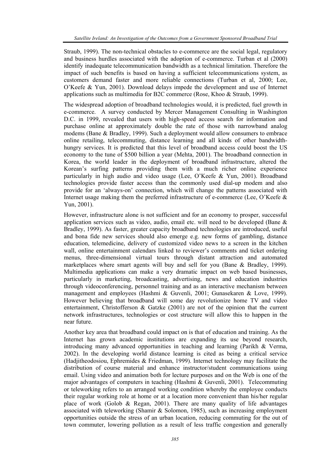Straub, 1999). The non-technical obstacles to e-commerce are the social legal, regulatory and business hurdles associated with the adoption of e-commerce. Turban et al (2000) identify inadequate telecommunication bandwidth as a technical limitation. Therefore the impact of such benefits is based on having a sufficient telecommunications system, as customers demand faster and more reliable connections (Turban et al, 2000; Lee, O'Keefe & Yun, 2001). Download delays impede the development and use of Internet applications such as multimedia for B2C commerce (Rose, Khoo & Straub, 1999).

The widespread adoption of broadband technologies would, it is predicted, fuel growth in e-commerce. A survey conducted by Mercer Management Consulting in Washington D.C. in 1999, revealed that users with high-speed access search for information and purchase online at approximately double the rate of those with narrowband analog modems (Bane & Bradley, 1999). Such a deployment would allow consumers to embrace online retailing, telecommuting, distance learning and all kinds of other bandwidthhungry services. It is predicted that this level of broadband access could boost the US economy to the tune of \$500 billion a year (Mehta, 2001). The broadband connection in Korea, the world leader in the deployment of broadband infrastructure, altered the Korean's surfing patterns providing them with a much richer online experience particularly in high audio and video usage (Lee, O'Keefe & Yun, 2001). Broadband technologies provide faster access than the commonly used dial-up modem and also provide for an 'always-on' connection, which will change the patterns associated with Internet usage making them the preferred infrastructure of e-commerce (Lee, O'Keefe  $\&$ Yun, 2001).

However, infrastructure alone is not sufficient and for an economy to prosper, successful application services such as video, audio, email etc. will need to be developed (Bane  $\&$ Bradley, 1999). As faster, greater capacity broadband technologies are introduced, useful and bona fide new services should also emerge e.g. new forms of gambling, distance education, telemedicine, delivery of customized video news to a screen in the kitchen wall, online entertainment calendars linked to reviewer's comments and ticket ordering menus, three-dimensional virtual tours through distant attraction and automated marketplaces where smart agents will buy and sell for you (Bane & Bradley, 1999). Multimedia applications can make a very dramatic impact on web based businesses, particularly in marketing, broadcasting, advertising, news and education industries through videoconferencing, personnel training and as an interactive mechanism between management and employees (Hashmi & Guvenli, 2001; Gunasekaren & Love, 1999). However believing that broadband will some day revolutionize home TV and video entertainment, Christofferson & Gatzke (2001) are not of the opinion that the current network infrastructures, technologies or cost structure will allow this to happen in the near future.

Another key area that broadband could impact on is that of education and training. As the Internet has grown academic institutions are expanding its use beyond research, introducing many advanced opportunities in teaching and learning (Parikh & Verma, 2002). In the developing world distance learning is cited as being a critical service (Hadjitheodosiou, Ephremides & Friedman, 1999). Internet technology may facilitate the distribution of course material and enhance instructor/student communications using email. Using video and animation both for lecture purposes and on the Web is one of the major advantages of computers in teaching (Hashmi  $\&$  Guvenli, 2001). Telecommuting or teleworking refers to an arranged working condition whereby the employee conducts their regular working role at home or at a location more convenient than his/her regular place of work (Golob & Regan, 2001). There are many quality of life advantages associated with teleworking (Shamir & Solomon, 1985), such as increasing employment opportunities outside the stress of an urban location, reducing commuting for the out of town commuter, lowering pollution as a result of less traffic congestion and generally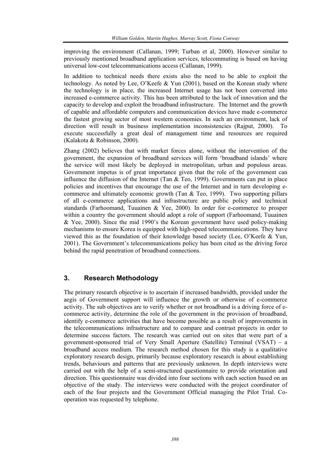improving the environment (Callanan, 1999; Turban et al, 2000). However similar to previously mentioned broadband application services, telecommuting is based on having universal low-cost telecommunications access (Callanan, 1999).

In addition to technical needs there exists also the need to be able to exploit the technology. As noted by Lee, O'Keefe & Yun (2001), based on the Korean study where the technology is in place, the increased Internet usage has not been converted into increased e-commerce activity. This has been attributed to the lack of innovation and the capacity to develop and exploit the broadband infrastructure. The Internet and the growth of capable and affordable computers and communication devices have made e-commerce the fastest growing sector of most western economies. In such an environment, lack of direction will result in business implementation inconsistencies (Rajput, 2000). To execute successfully a great deal of management time and resources are required (Kalakota & Robinson, 2000).

Zhang (2002) believes that with market forces alone, without the intervention of the government, the expansion of broadband services will form 'broadband islands' where the service will most likely be deployed in metropolitan, urban and populous areas. Government impetus is of great importance given that the role of the government can influence the diffusion of the Internet (Tan  $\&$  Teo, 1999). Governments can put in place policies and incentives that encourage the use of the Internet and in turn developing ecommerce and ultimately economic growth (Tan & Teo, 1999). Two supporting pillars of all e-commerce applications and infrastructure are public policy and technical standards (Farhoomand, Tuuainen & Yee, 2000). In order for e-commerce to prosper within a country the government should adopt a role of support (Farhoomand, Tuuainen & Yee, 2000). Since the mid 1990's the Korean government have used policy-making mechanisms to ensure Korea is equipped with high-speed telecommunications. They have viewed this as the foundation of their knowledge based society (Lee, O'Keefe & Yun, 2001). The Government's telecommunications policy has been cited as the driving force behind the rapid penetration of broadband connections.

## **3. Research Methodology**

The primary research objective is to ascertain if increased bandwidth, provided under the aegis of Government support will influence the growth or otherwise of e-commerce activity. The sub objectives are to verify whether or not broadband is a driving force of ecommerce activity, determine the role of the government in the provision of broadband, identify e-commerce activities that have become possible as a result of improvements in the telecommunications infrastructure and to compare and contrast projects in order to determine success factors. The research was carried out on sites that were part of a government-sponsored trial of Very Small Aperture (Satellite) Terminal (VSAT) – a broadband access medium. The research method chosen for this study is a qualitative exploratory research design, primarily because exploratory research is about establishing trends, behaviours and patterns that are previously unknown. In depth interviews were carried out with the help of a semi-structured questionnaire to provide orientation and direction. This questionnaire was divided into four sections with each section based on an objective of the study. The interviews were conducted with the project coordinator of each of the four projects and the Government Official managing the Pilot Trial. Cooperation was requested by telephone.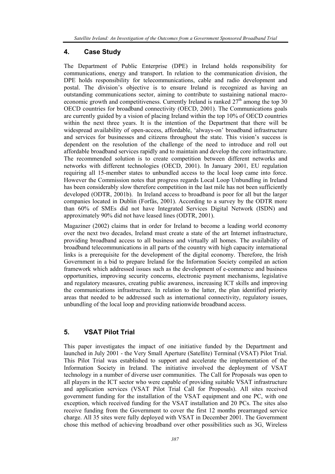#### **4. Case Study**

The Department of Public Enterprise (DPE) in Ireland holds responsibility for communications, energy and transport. In relation to the communication division, the DPE holds responsibility for telecommunications, cable and radio development and postal. The division's objective is to ensure Ireland is recognized as having an outstanding communications sector, aiming to contribute to sustaining national macroeconomic growth and competitiveness. Currently Ireland is ranked  $27<sup>th</sup>$  among the top 30 OECD countries for broadband connectivity (OECD, 2001). The Communications goals are currently guided by a vision of placing Ireland within the top 10% of OECD countries within the next three years. It is the intention of the Department that there will be widespread availability of open-access, affordable, 'always-on' broadband infrastructure and services for businesses and citizens throughout the state. This vision's success is dependent on the resolution of the challenge of the need to introduce and roll out affordable broadband services rapidly and to maintain and develop the core infrastructure. The recommended solution is to create competition between different networks and networks with different technologies (OECD, 2001). In January 2001, EU regulation requiring all 15-member states to unbundled access to the local loop came into force. However the Commission notes that progress regards Local Loop Unbundling in Ireland has been considerably slow therefore competition in the last mile has not been sufficiently developed (ODTR, 2001b). In Ireland access to broadband is poor for all but the larger companies located in Dublin (Forfás, 2001). According to a survey by the ODTR more than 60% of SMEs did not have Integrated Services Digital Network (ISDN) and approximately 90% did not have leased lines (ODTR, 2001).

Magaziner (2002) claims that in order for Ireland to become a leading world economy over the next two decades, Ireland must create a state of the art Internet infrastructure, providing broadband access to all business and virtually all homes. The availability of broadband telecommunications in all parts of the country with high capacity international links is a prerequisite for the development of the digital economy. Therefore, the Irish Government in a bid to prepare Ireland for the Information Society compiled an action framework which addressed issues such as the development of e-commerce and business opportunities, improving security concerns, electronic payment mechanisms, legislative and regulatory measures, creating public awareness, increasing ICT skills and improving the communications infrastructure. In relation to the latter, the plan identified priority areas that needed to be addressed such as international connectivity, regulatory issues, unbundling of the local loop and providing nationwide broadband access.

## **5. VSAT Pilot Trial**

This paper investigates the impact of one initiative funded by the Department and launched in July 2001 - the Very Small Aperture (Satellite) Terminal (VSAT) Pilot Trial. This Pilot Trial was established to support and accelerate the implementation of the Information Society in Ireland. The initiative involved the deployment of VSAT technology in a number of diverse user communities. The Call for Proposals was open to all players in the ICT sector who were capable of providing suitable VSAT infrastructure and application services (VSAT Pilot Trial Call for Proposals). All sites received government funding for the installation of the VSAT equipment and one PC, with one exception, which received funding for the VSAT installation and 20 PCs. The sites also receive funding from the Government to cover the first 12 months prearranged service charge. All 35 sites were fully deployed with VSAT in December 2001. The Government chose this method of achieving broadband over other possibilities such as 3G, Wireless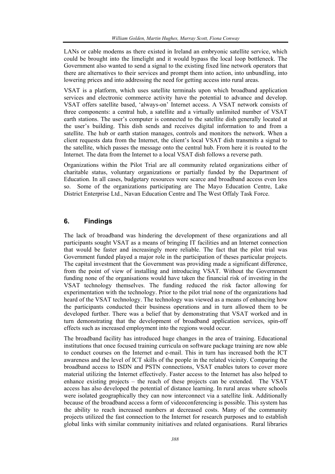LANs or cable modems as there existed in Ireland an embryonic satellite service, which could be brought into the limelight and it would bypass the local loop bottleneck. The Government also wanted to send a signal to the existing fixed line network operators that there are alternatives to their services and prompt them into action, into unbundling, into lowering prices and into addressing the need for getting access into rural areas.

VSAT is a platform, which uses satellite terminals upon which broadband application services and electronic commerce activity have the potential to advance and develop. VSAT offers satellite based, 'always-on' Internet access. A VSAT network consists of three components: a central hub, a satellite and a virtually unlimited number of VSAT earth stations. The user's computer is connected to the satellite dish generally located at the user's building. This dish sends and receives digital information to and from a satellite. The hub or earth station manages, controls and monitors the network. When a client requests data from the Internet, the client's local VSAT dish transmits a signal to the satellite, which passes the message onto the central hub. From here it is routed to the Internet. The data from the Internet to a local VSAT dish follows a reverse path.

Organizations within the Pilot Trial are all community related organizations either of charitable status, voluntary organizations or partially funded by the Department of Education. In all cases, budgetary resources were scarce and broadband access even less so. Some of the organizations participating are The Mayo Education Centre, Lake District Enterprise Ltd., Navan Education Centre and The West Offaly Task Force.

## **6. Findings**

The lack of broadband was hindering the development of these organizations and all participants sought VSAT as a means of bringing IT facilities and an Internet connection that would be faster and increasingly more reliable. The fact that the pilot trial was Government funded played a major role in the participation of theses particular projects. The capital investment that the Government was providing made a significant difference, from the point of view of installing and introducing VSAT. Without the Government funding none of the organisations would have taken the financial risk of investing in the VSAT technology themselves. The funding reduced the risk factor allowing for experimentation with the technology. Prior to the pilot trial none of the organizations had heard of the VSAT technology. The technology was viewed as a means of enhancing how the participants conducted their business operations and in turn allowed them to be developed further. There was a belief that by demonstrating that VSAT worked and in turn demonstrating that the development of broadband application services, spin-off effects such as increased employment into the regions would occur.

The broadband facility has introduced huge changes in the area of training. Educational institutions that once focused training curricula on software package training are now able to conduct courses on the Internet and e-mail. This in turn has increased both the ICT awareness and the level of ICT skills of the people in the related vicinity. Comparing the broadband access to ISDN and PSTN connections, VSAT enables tutors to cover more material utilizing the Internet effectively. Faster access to the Internet has also helped to enhance existing projects – the reach of these projects can be extended. The VSAT access has also developed the potential of distance learning. In rural areas where schools were isolated geographically they can now interconnect via a satellite link. Additionally because of the broadband access a form of videoconferencing is possible. This system has the ability to reach increased numbers at decreased costs. Many of the community projects utilized the fast connection to the Internet for research purposes and to establish global links with similar community initiatives and related organisations. Rural libraries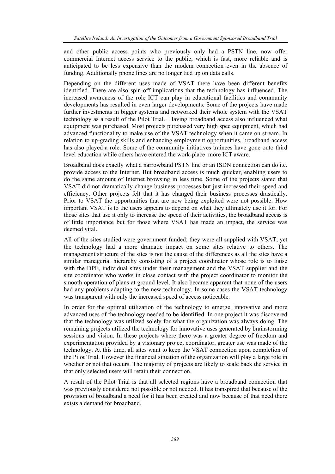and other public access points who previously only had a PSTN line, now offer commercial Internet access service to the public, which is fast, more reliable and is anticipated to be less expensive than the modem connection even in the absence of funding. Additionally phone lines are no longer tied up on data calls.

Depending on the different uses made of VSAT there have been different benefits identified. There are also spin-off implications that the technology has influenced. The increased awareness of the role ICT can play in educational facilities and community developments has resulted in even larger developments. Some of the projects have made further investments in bigger systems and networked their whole system with the VSAT technology as a result of the Pilot Trial. Having broadband access also influenced what equipment was purchased. Most projects purchased very high spec equipment, which had advanced functionality to make use of the VSAT technology when it came on stream. In relation to up-grading skills and enhancing employment opportunities, broadband access has also played a role. Some of the community initiatives trainees have gone onto third level education while others have entered the work-place more ICT aware.

Broadband does exactly what a narrowband PSTN line or an ISDN connection can do i.e. provide access to the Internet. But broadband access is much quicker, enabling users to do the same amount of Internet browsing in less time. Some of the projects stated that VSAT did not dramatically change business processes but just increased their speed and efficiency. Other projects felt that it has changed their business processes drastically. Prior to VSAT the opportunities that are now being exploited were not possible. How important VSAT is to the users appears to depend on what they ultimately use it for. For those sites that use it only to increase the speed of their activities, the broadband access is of little importance but for those where VSAT has made an impact, the service was deemed vital.

All of the sites studied were government funded; they were all supplied with VSAT, yet the technology had a more dramatic impact on some sites relative to others. The management structure of the sites is not the cause of the differences as all the sites have a similar managerial hierarchy consisting of a project coordinator whose role is to liaise with the DPE, individual sites under their management and the VSAT supplier and the site coordinator who works in close contact with the project coordinator to monitor the smooth operation of plans at ground level. It also became apparent that none of the users had any problems adapting to the new technology. In some cases the VSAT technology was transparent with only the increased speed of access noticeable.

In order for the optimal utilization of the technology to emerge, innovative and more advanced uses of the technology needed to be identified. In one project it was discovered that the technology was utilized solely for what the organization was always doing. The remaining projects utilized the technology for innovative uses generated by brainstorming sessions and vision. In these projects where there was a greater degree of freedom and experimentation provided by a visionary project coordinator, greater use was made of the technology. At this time, all sites want to keep the VSAT connection upon completion of the Pilot Trial. However the financial situation of the organization will play a large role in whether or not that occurs. The majority of projects are likely to scale back the service in that only selected users will retain their connection.

A result of the Pilot Trial is that all selected regions have a broadband connection that was previously considered not possible or not needed. It has transpired that because of the provision of broadband a need for it has been created and now because of that need there exists a demand for broadband.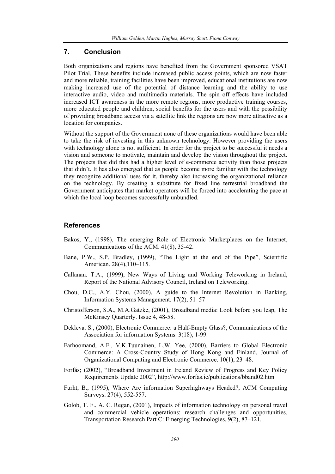## **7. Conclusion**

Both organizations and regions have benefited from the Government sponsored VSAT Pilot Trial. These benefits include increased public access points, which are now faster and more reliable, training facilities have been improved, educational institutions are now making increased use of the potential of distance learning and the ability to use interactive audio, video and multimedia materials. The spin off effects have included increased ICT awareness in the more remote regions, more productive training courses, more educated people and children, social benefits for the users and with the possibility of providing broadband access via a satellite link the regions are now more attractive as a location for companies.

Without the support of the Government none of these organizations would have been able to take the risk of investing in this unknown technology. However providing the users with technology alone is not sufficient. In order for the project to be successful it needs a vision and someone to motivate, maintain and develop the vision throughout the project. The projects that did this had a higher level of e-commerce activity than those projects that didn't. It has also emerged that as people become more familiar with the technology they recognize additional uses for it, thereby also increasing the organizational reliance on the technology. By creating a substitute for fixed line terrestrial broadband the Government anticipates that market operators will be forced into accelerating the pace at which the local loop becomes successfully unbundled.

## **References**

- Bakos, Y., (1998), The emerging Role of Electronic Marketplaces on the Internet, Communications of the ACM. 41(8), 35-42.
- Bane, P.W., S.P. Bradley, (1999), "The Light at the end of the Pipe", Scientific American. 28(4),110–115.
- Callanan. T.A., (1999), New Ways of Living and Working Teleworking in Ireland, Report of the National Advisory Council, Ireland on Teleworking.
- Chou, D.C., A.Y. Chou, (2000), A guide to the Internet Revolution in Banking, Information Systems Management. 17(2), 51–57
- Christofferson, S.A., M.A.Gatzke, (2001), Broadband media: Look before you leap, The McKinsey Quarterly. Issue 4, 48-58.
- Dekleva. S., (2000), Electronic Commerce: a Half-Empty Glass?, Communications of the Association for information Systems. 3(18), 1-99.
- Farhoomand, A.F., V.K.Tuunainen, L.W. Yee, (2000), Barriers to Global Electronic Commerce: A Cross-Country Study of Hong Kong and Finland, Journal of Organizational Computing and Electronic Commerce. 10(1), 23–48.
- Forfás; (2002), "Broadband Investment in Ireland Review of Progress and Key Policy Requirements Update 2002", http://www.forfas.ie/publications/bband02.htm
- Furht, B., (1995), Where Are information Superhighways Headed?, ACM Computing Surveys. 27(4), 552-557.
- Golob, T. F., A. C. Regan, (2001), Impacts of information technology on personal travel and commercial vehicle operations: research challenges and opportunities, Transportation Research Part C: Emerging Technologies, 9(2), 87–121.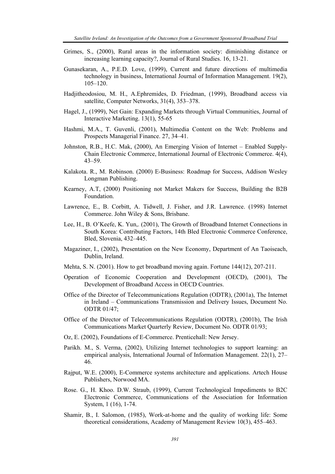- Grimes, S., (2000), Rural areas in the information society: diminishing distance or increasing learning capacity?, Journal of Rural Studies. 16, 13-21.
- Gunasekaran, A., P.E.D. Love, (1999), Current and future directions of multimedia technology in business, International Journal of Information Management. 19(2),  $105 - 120$ .
- Hadjitheodosiou, M. H., A.Ephremides, D. Friedman, (1999), Broadband access via satellite, Computer Networks, 31(4), 353–378.
- Hagel, J., (1999), Net Gain: Expanding Markets through Virtual Communities, Journal of Interactive Marketing. 13(1), 55-65
- Hashmi, M.A., T. Guvenli, (2001), Multimedia Content on the Web: Problems and Prospects Managerial Finance. 27, 34–41.
- Johnston, R.B., H.C. Mak, (2000), An Emerging Vision of Internet Enabled Supply-Chain Electronic Commerce, International Journal of Electronic Commerce. 4(4), 43–59.
- Kalakota. R., M. Robinson. (2000) E-Business: Roadmap for Success, Addison Wesley Longman Publishing.
- Kearney, A.T, (2000) Positioning not Market Makers for Success, Building the B2B Foundation.
- Lawrence, E., B. Corbitt, A. Tidwell, J. Fisher, and J.R. Lawrence. (1998) Internet Commerce. John Wiley & Sons, Brisbane.
- Lee, H., B. O'Keefe, K. Yun,. (2001), The Growth of Broadband Internet Connections in South Korea: Contributing Factors, 14th Bled Electronic Commerce Conference, Bled, Slovenia, 432–445.
- Magaziner, I., (2002), Presentation on the New Economy, Department of An Taoiseach, Dublin, Ireland.
- Mehta, S. N. (2001). How to get broadband moving again. Fortune 144(12), 207-211.
- Operation of Economic Cooperation and Development (OECD), (2001), The Development of Broadband Access in OECD Countries.
- Office of the Director of Telecommunications Regulation (ODTR), (2001a), The Internet in Ireland – Communications Transmission and Delivery Issues, Document No. ODTR 01/47;
- Office of the Director of Telecommunications Regulation (ODTR), (2001b), The Irish Communications Market Quarterly Review, Document No. ODTR 01/93;
- Oz, E. (2002), Foundations of E-Commerce. Prenticehall: New Jersey.
- Parikh. M., S. Verma, (2002), Utilizing Internet technologies to support learning: an empirical analysis, International Journal of Information Management. 22(1), 27– 46.
- Rajput, W.E. (2000), E-Commerce systems architecture and applications. Artech House Publishers, Norwood MA.
- Rose. G., H. Khoo. D.W. Straub, (1999), Current Technological Impediments to B2C Electronic Commerce, Communications of the Association for Information System, 1 (16), 1-74.
- Shamir, B., I. Salomon, (1985), Work-at-home and the quality of working life: Some theoretical considerations, Academy of Management Review 10(3), 455–463.